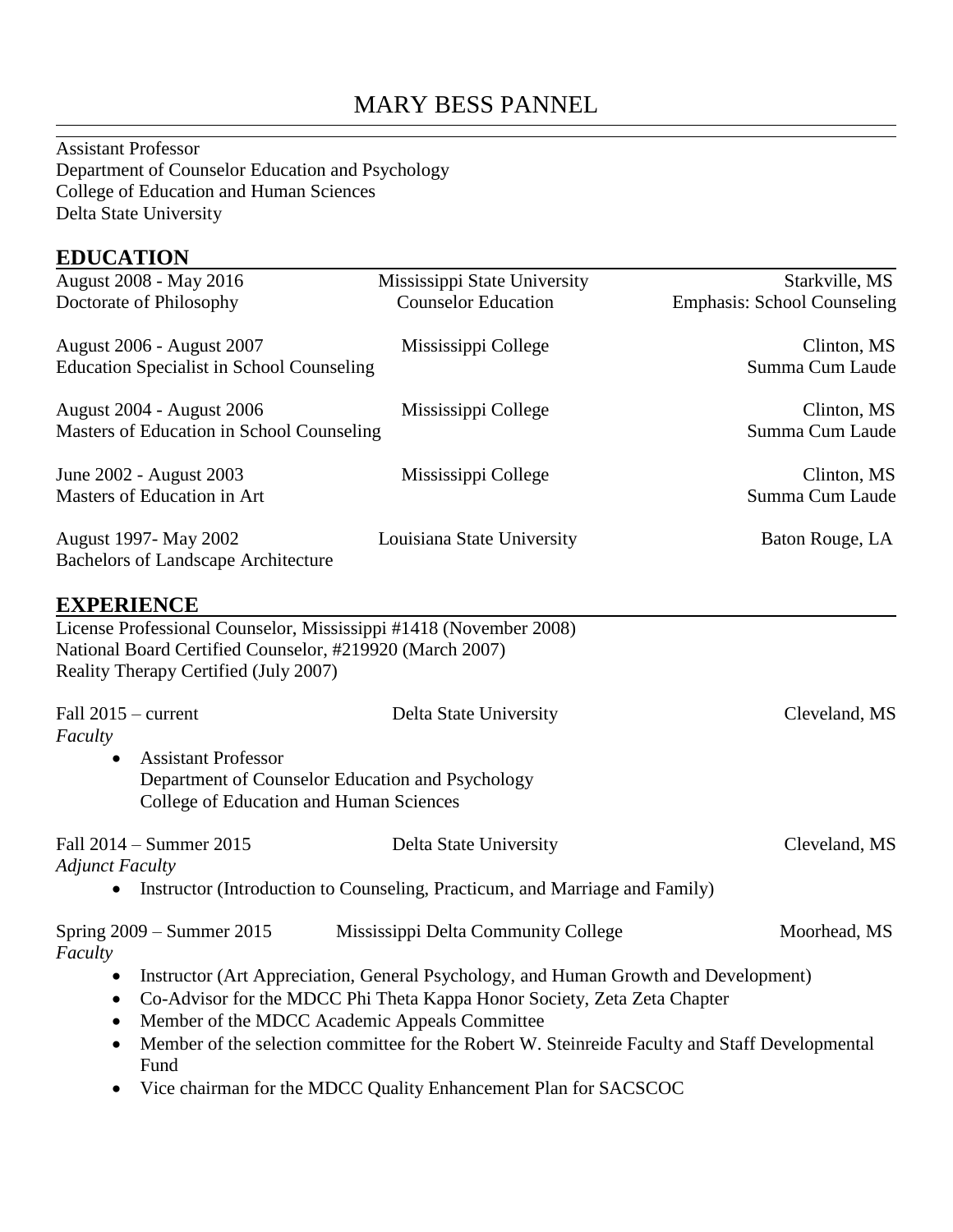# MARY BESS PANNEL

Assistant Professor Department of Counselor Education and Psychology College of Education and Human Sciences Delta State University

#### **EDUCATION**

| August 2008 - May 2016<br>Doctorate of Philosophy                                                 | Mississippi State University<br><b>Counselor Education</b>                                                                                                                                                       | Starkville, MS<br><b>Emphasis: School Counseling</b> |
|---------------------------------------------------------------------------------------------------|------------------------------------------------------------------------------------------------------------------------------------------------------------------------------------------------------------------|------------------------------------------------------|
| August 2006 - August 2007<br><b>Education Specialist in School Counseling</b>                     | Mississippi College                                                                                                                                                                                              | Clinton, MS<br>Summa Cum Laude                       |
| <b>August 2004 - August 2006</b><br>Masters of Education in School Counseling                     | Mississippi College                                                                                                                                                                                              | Clinton, MS<br>Summa Cum Laude                       |
| June 2002 - August 2003<br>Masters of Education in Art                                            | Mississippi College                                                                                                                                                                                              | Clinton, MS<br>Summa Cum Laude                       |
| August 1997- May 2002<br><b>Bachelors of Landscape Architecture</b>                               | Louisiana State University                                                                                                                                                                                       | Baton Rouge, LA                                      |
| <b>EXPERIENCE</b>                                                                                 | License Professional Counselor, Mississippi #1418 (November 2008)                                                                                                                                                |                                                      |
| National Board Certified Counselor, #219920 (March 2007)<br>Reality Therapy Certified (July 2007) |                                                                                                                                                                                                                  |                                                      |
| Fall $2015$ – current<br>Faculty                                                                  | Delta State University                                                                                                                                                                                           | Cleveland, MS                                        |
| <b>Assistant Professor</b><br>College of Education and Human Sciences                             | Department of Counselor Education and Psychology                                                                                                                                                                 |                                                      |
| Fall 2014 - Summer 2015<br><b>Adjunct Faculty</b>                                                 | Delta State University                                                                                                                                                                                           | Cleveland, MS                                        |
| $\bullet$                                                                                         | Instructor (Introduction to Counseling, Practicum, and Marriage and Family)                                                                                                                                      |                                                      |
| Spring $2009 -$ Summer $2015$<br>Faculty                                                          | Mississippi Delta Community College                                                                                                                                                                              | Moorhead, MS                                         |
| $\bullet$<br>$\bullet$<br>$\bullet$                                                               | Instructor (Art Appreciation, General Psychology, and Human Growth and Development)<br>Co-Advisor for the MDCC Phi Theta Kappa Honor Society, Zeta Zeta Chapter<br>Member of the MDCC Academic Appeals Committee |                                                      |
| Fund                                                                                              | Member of the selection committee for the Robert W. Steinreide Faculty and Staff Developmental                                                                                                                   |                                                      |

• Vice chairman for the MDCC Quality Enhancement Plan for SACSCOC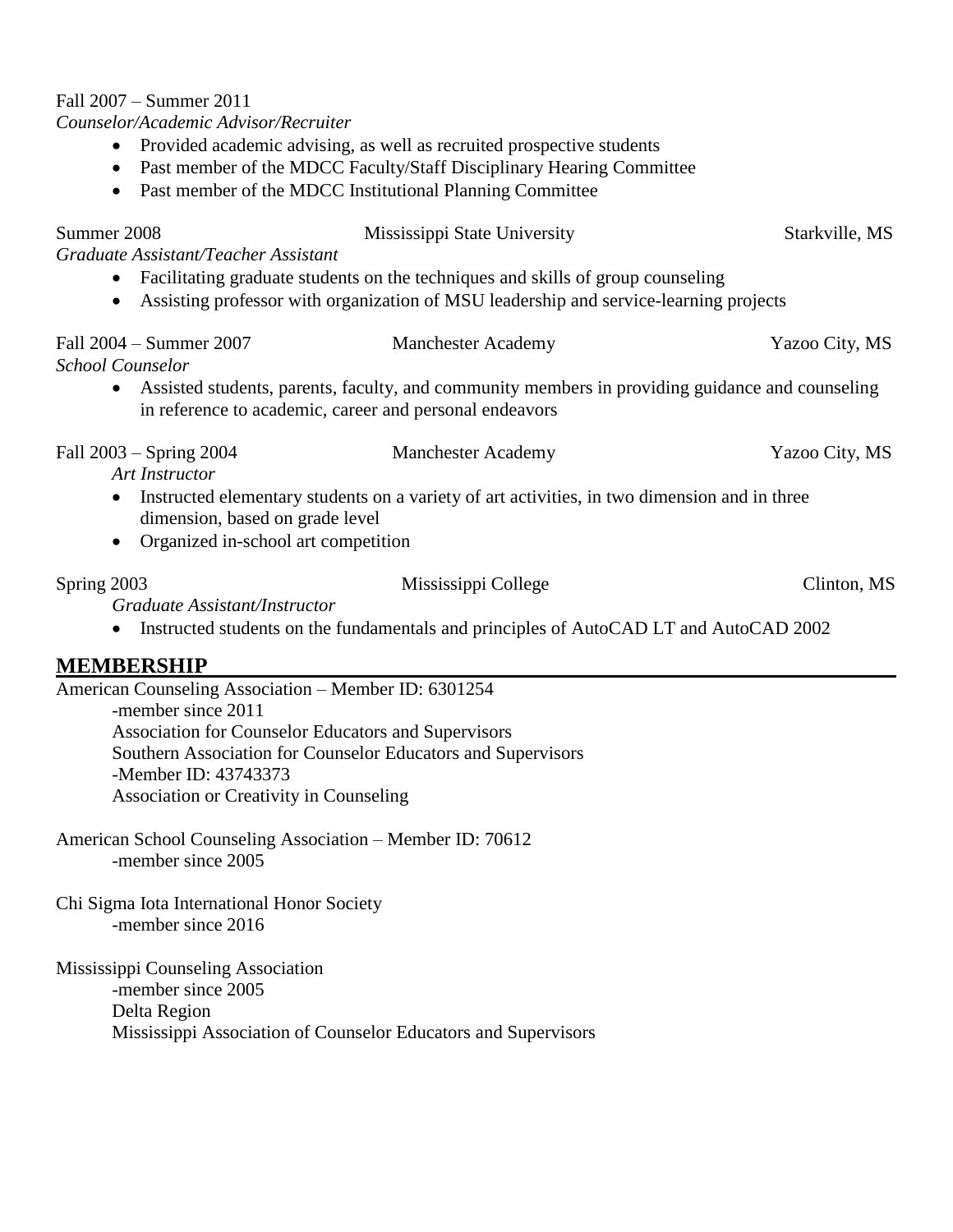## Fall 2007 – Summer 2011

*Counselor/Academic Advisor/Recruiter*

- Provided academic advising, as well as recruited prospective students
- Past member of the MDCC Faculty/Staff Disciplinary Hearing Committee
- Past member of the MDCC Institutional Planning Committee

| Summer 2008<br>Graduate Assistant/Teacher Assistant                                 | Mississippi State University                                                                                                                                             | Starkville, MS |  |  |
|-------------------------------------------------------------------------------------|--------------------------------------------------------------------------------------------------------------------------------------------------------------------------|----------------|--|--|
| $\bullet$<br>$\bullet$                                                              | Facilitating graduate students on the techniques and skills of group counseling<br>Assisting professor with organization of MSU leadership and service-learning projects |                |  |  |
| Fall 2004 – Summer 2007<br><b>School Counselor</b>                                  | <b>Manchester Academy</b>                                                                                                                                                | Yazoo City, MS |  |  |
| in reference to academic, career and personal endeavors                             | Assisted students, parents, faculty, and community members in providing guidance and counseling                                                                          |                |  |  |
| Fall 2003 – Spring 2004<br><b>Art Instructor</b>                                    | <b>Manchester Academy</b>                                                                                                                                                | Yazoo City, MS |  |  |
| dimension, based on grade level<br>Organized in-school art competition<br>$\bullet$ | Instructed elementary students on a variety of art activities, in two dimension and in three                                                                             |                |  |  |
| Spring 2003                                                                         | Mississippi College                                                                                                                                                      | Clinton, MS    |  |  |
| Graduate Assistant/Instructor                                                       | Instructed students on the fundamentals and principles of AutoCAD LT and AutoCAD 2002                                                                                    |                |  |  |
| <b>MEMBERSHIP</b>                                                                   |                                                                                                                                                                          |                |  |  |
| American Counseling Association - Member ID: 6301254                                |                                                                                                                                                                          |                |  |  |
| -member since 2011<br>Association for Counselor Educators and Supervisors           |                                                                                                                                                                          |                |  |  |
| Southern Association for Counselor Educators and Supervisors                        |                                                                                                                                                                          |                |  |  |
| -Member ID: 43743373                                                                |                                                                                                                                                                          |                |  |  |
| Association or Creativity in Counseling                                             |                                                                                                                                                                          |                |  |  |
| American School Counseling Association – Member ID: 70612<br>-member since 2005     |                                                                                                                                                                          |                |  |  |
| Chi Sigma Iota International Honor Society                                          |                                                                                                                                                                          |                |  |  |
| -member since 2016                                                                  |                                                                                                                                                                          |                |  |  |
| Mississippi Counseling Association<br>-member since 2005                            |                                                                                                                                                                          |                |  |  |
| Delta Region                                                                        | Mississippi Association of Counselor Educators and Supervisors                                                                                                           |                |  |  |
|                                                                                     |                                                                                                                                                                          |                |  |  |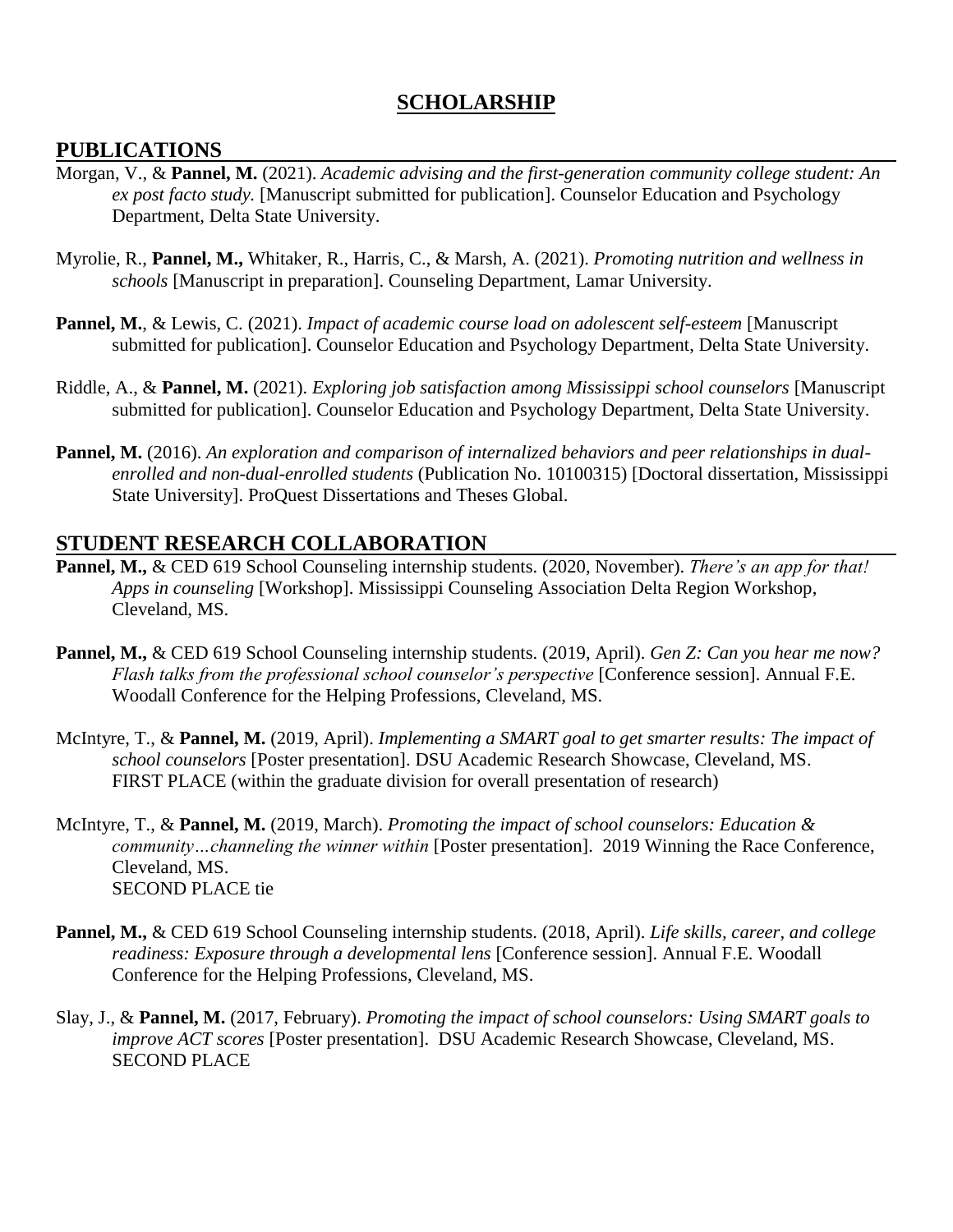## **SCHOLARSHIP**

#### **PUBLICATIONS**

- Morgan, V., & **Pannel, M.** (2021). *Academic advising and the first-generation community college student: An ex post facto study.* [Manuscript submitted for publication]. Counselor Education and Psychology Department, Delta State University.
- Myrolie, R., **Pannel, M.,** Whitaker, R., Harris, C., & Marsh, A. (2021). *Promoting nutrition and wellness in schools* [Manuscript in preparation]. Counseling Department, Lamar University.
- **Pannel, M.**, & Lewis, C. (2021). *Impact of academic course load on adolescent self-esteem* [Manuscript submitted for publication]. Counselor Education and Psychology Department, Delta State University.
- Riddle, A., & **Pannel, M.** (2021). *Exploring job satisfaction among Mississippi school counselors* [Manuscript submitted for publication]. Counselor Education and Psychology Department, Delta State University.
- **Pannel, M.** (2016). *An exploration and comparison of internalized behaviors and peer relationships in dualenrolled and non-dual-enrolled students* (Publication No. 10100315) [Doctoral dissertation, Mississippi State University]. ProQuest Dissertations and Theses Global.

#### **STUDENT RESEARCH COLLABORATION**

- **Pannel, M.,** & CED 619 School Counseling internship students. (2020, November). *There's an app for that! Apps in counseling* [Workshop]. Mississippi Counseling Association Delta Region Workshop, Cleveland, MS.
- **Pannel, M.,** & CED 619 School Counseling internship students. (2019, April). *Gen Z: Can you hear me now? Flash talks from the professional school counselor's perspective* [Conference session]. Annual F.E. Woodall Conference for the Helping Professions, Cleveland, MS.
- McIntyre, T., & **Pannel, M.** (2019, April). *Implementing a SMART goal to get smarter results: The impact of school counselors* [Poster presentation]. DSU Academic Research Showcase, Cleveland, MS. FIRST PLACE (within the graduate division for overall presentation of research)
- McIntyre, T., & **Pannel, M.** (2019, March). *Promoting the impact of school counselors: Education & community…channeling the winner within* [Poster presentation]. 2019 Winning the Race Conference, Cleveland, MS. SECOND PLACE tie
- **Pannel, M.,** & CED 619 School Counseling internship students. (2018, April). *Life skills, career, and college readiness: Exposure through a developmental lens* [Conference session]. Annual F.E. Woodall Conference for the Helping Professions, Cleveland, MS.
- Slay, J., & **Pannel, M.** (2017, February). *Promoting the impact of school counselors: Using SMART goals to improve ACT scores* [Poster presentation]. DSU Academic Research Showcase, Cleveland, MS. SECOND PLACE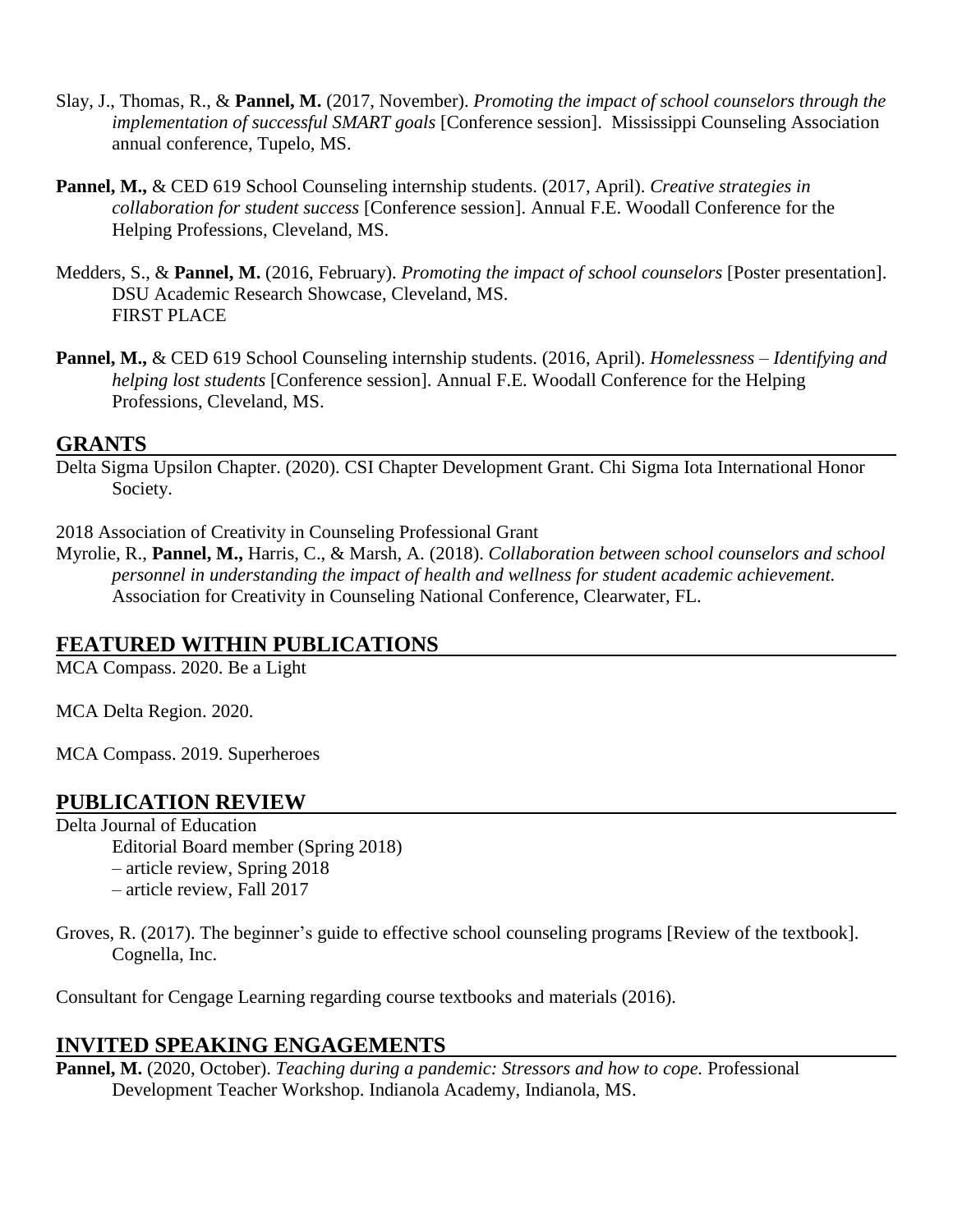- Slay, J., Thomas, R., & **Pannel, M.** (2017, November). *Promoting the impact of school counselors through the implementation of successful SMART goals* [Conference session]. Mississippi Counseling Association annual conference, Tupelo, MS.
- **Pannel, M.,** & CED 619 School Counseling internship students. (2017, April). *Creative strategies in collaboration for student success* [Conference session]. Annual F.E. Woodall Conference for the Helping Professions, Cleveland, MS.
- Medders, S., & **Pannel, M.** (2016, February). *Promoting the impact of school counselors* [Poster presentation]. DSU Academic Research Showcase, Cleveland, MS. FIRST PLACE
- **Pannel, M.,** & CED 619 School Counseling internship students. (2016, April). *Homelessness – Identifying and helping lost students* [Conference session]. Annual F.E. Woodall Conference for the Helping Professions, Cleveland, MS.

#### **GRANTS**

Delta Sigma Upsilon Chapter. (2020). CSI Chapter Development Grant. Chi Sigma Iota International Honor Society.

2018 Association of Creativity in Counseling Professional Grant

Myrolie, R., **Pannel, M.,** Harris, C., & Marsh, A. (2018). *Collaboration between school counselors and school personnel in understanding the impact of health and wellness for student academic achievement.* Association for Creativity in Counseling National Conference, Clearwater, FL.

#### **FEATURED WITHIN PUBLICATIONS**

MCA Compass. 2020. Be a Light

MCA Delta Region. 2020.

MCA Compass. 2019. Superheroes

#### **PUBLICATION REVIEW**

Delta Journal of Education Editorial Board member (Spring 2018) – article review, Spring 2018 – article review, Fall 2017

Groves, R. (2017). The beginner's guide to effective school counseling programs [Review of the textbook]. Cognella, Inc.

Consultant for Cengage Learning regarding course textbooks and materials (2016).

#### **INVITED SPEAKING ENGAGEMENTS**

**Pannel, M.** (2020, October). *Teaching during a pandemic: Stressors and how to cope.* Professional Development Teacher Workshop. Indianola Academy, Indianola, MS.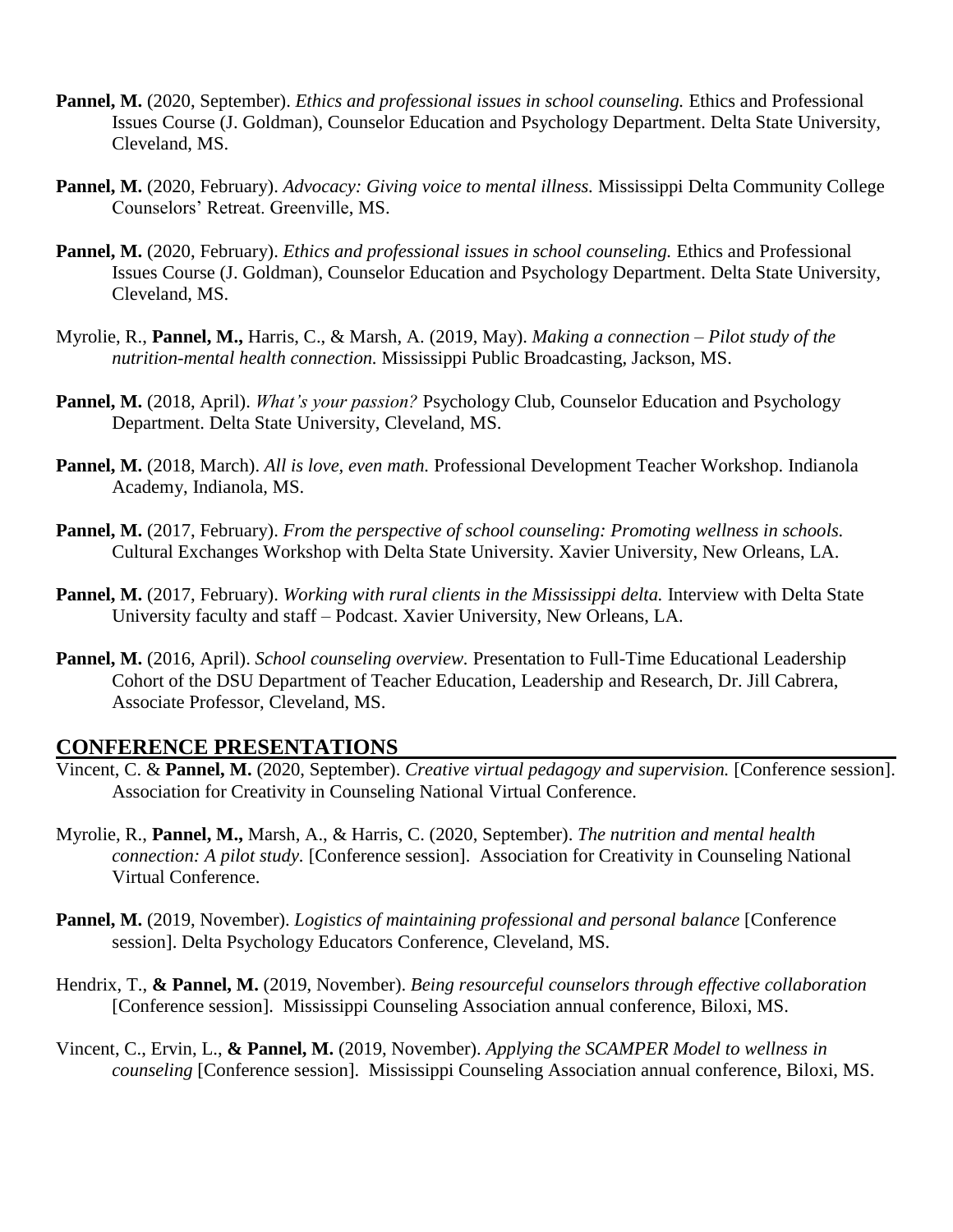- **Pannel, M.** (2020, September). *Ethics and professional issues in school counseling.* Ethics and Professional Issues Course (J. Goldman), Counselor Education and Psychology Department. Delta State University, Cleveland, MS.
- **Pannel, M.** (2020, February). *Advocacy: Giving voice to mental illness.* Mississippi Delta Community College Counselors' Retreat. Greenville, MS.
- **Pannel, M.** (2020, February). *Ethics and professional issues in school counseling.* Ethics and Professional Issues Course (J. Goldman), Counselor Education and Psychology Department. Delta State University, Cleveland, MS.
- Myrolie, R., **Pannel, M.,** Harris, C., & Marsh, A. (2019, May). *Making a connection – Pilot study of the nutrition-mental health connection.* Mississippi Public Broadcasting, Jackson, MS.
- **Pannel, M.** (2018, April). *What's your passion?* Psychology Club, Counselor Education and Psychology Department. Delta State University, Cleveland, MS.
- **Pannel, M.** (2018, March). *All is love, even math.* Professional Development Teacher Workshop. Indianola Academy, Indianola, MS.
- **Pannel, M.** (2017, February). *From the perspective of school counseling: Promoting wellness in schools.*  Cultural Exchanges Workshop with Delta State University. Xavier University, New Orleans, LA.
- **Pannel, M.** (2017, February). *Working with rural clients in the Mississippi delta.* Interview with Delta State University faculty and staff – Podcast. Xavier University, New Orleans, LA.
- **Pannel, M.** (2016, April). *School counseling overview.* Presentation to Full-Time Educational Leadership Cohort of the DSU Department of Teacher Education, Leadership and Research, Dr. Jill Cabrera, Associate Professor, Cleveland, MS.

#### **CONFERENCE PRESENTATIONS**

- Vincent, C. & **Pannel, M.** (2020, September). *Creative virtual pedagogy and supervision.* [Conference session]. Association for Creativity in Counseling National Virtual Conference.
- Myrolie, R., **Pannel, M.,** Marsh, A., & Harris, C. (2020, September). *The nutrition and mental health connection: A pilot study.* [Conference session]. Association for Creativity in Counseling National Virtual Conference.
- **Pannel, M.** (2019, November). *Logistics of maintaining professional and personal balance* [Conference session]. Delta Psychology Educators Conference, Cleveland, MS.
- Hendrix, T., **& Pannel, M.** (2019, November). *Being resourceful counselors through effective collaboration* [Conference session]. Mississippi Counseling Association annual conference, Biloxi, MS.
- Vincent, C., Ervin, L., **& Pannel, M.** (2019, November). *Applying the SCAMPER Model to wellness in counseling* [Conference session]. Mississippi Counseling Association annual conference, Biloxi, MS.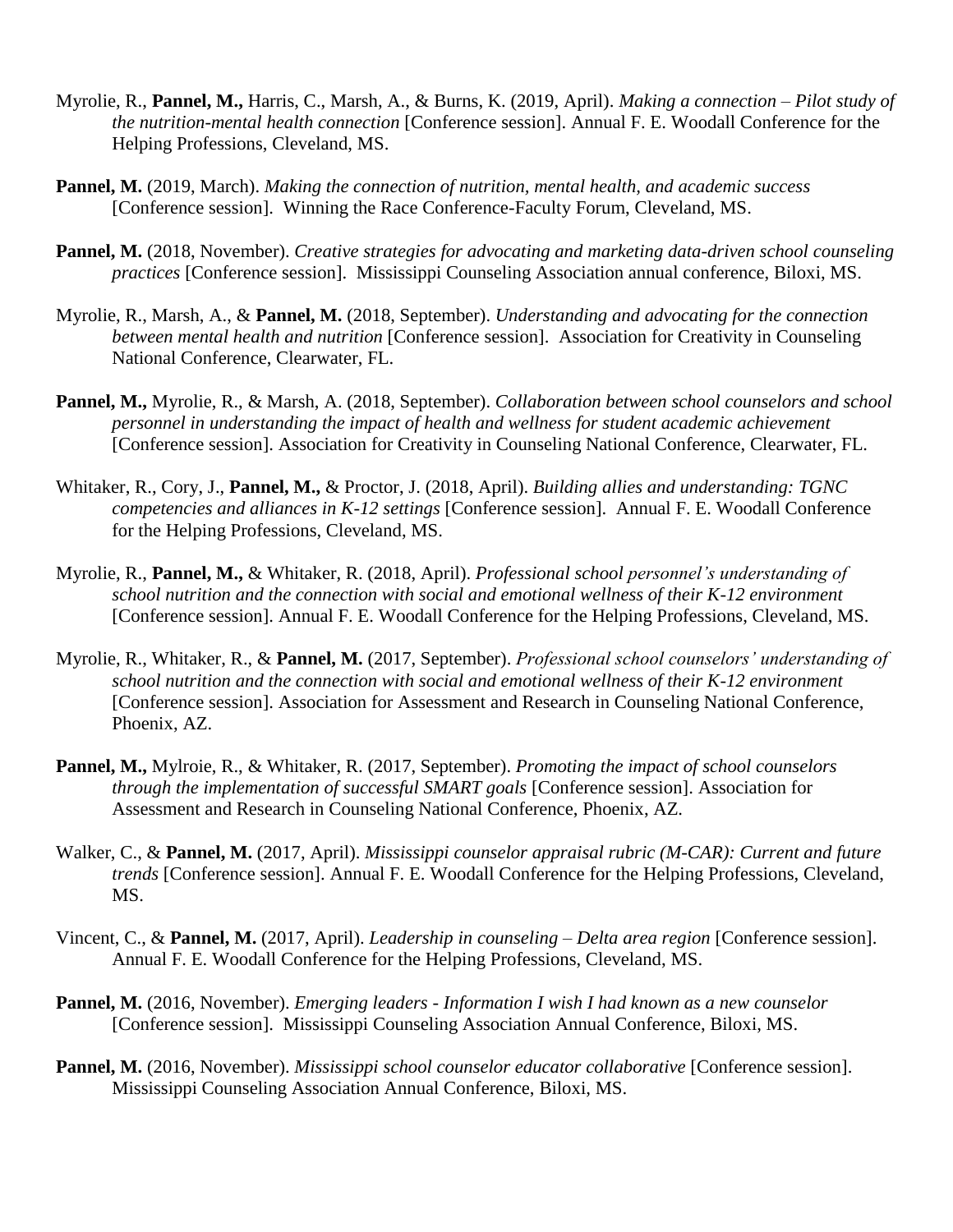- Myrolie, R., **Pannel, M.,** Harris, C., Marsh, A., & Burns, K. (2019, April). *Making a connection – Pilot study of the nutrition-mental health connection* [Conference session]. Annual F. E. Woodall Conference for the Helping Professions, Cleveland, MS.
- **Pannel, M.** (2019, March). *Making the connection of nutrition, mental health, and academic success* [Conference session]. Winning the Race Conference-Faculty Forum, Cleveland, MS.
- **Pannel, M.** (2018, November). *Creative strategies for advocating and marketing data-driven school counseling practices* [Conference session]. Mississippi Counseling Association annual conference, Biloxi, MS.
- Myrolie, R., Marsh, A., & **Pannel, M.** (2018, September). *Understanding and advocating for the connection between mental health and nutrition* [Conference session]. Association for Creativity in Counseling National Conference, Clearwater, FL.
- **Pannel, M.,** Myrolie, R., & Marsh, A. (2018, September). *Collaboration between school counselors and school personnel in understanding the impact of health and wellness for student academic achievement* [Conference session]. Association for Creativity in Counseling National Conference, Clearwater, FL.
- Whitaker, R., Cory, J., **Pannel, M.,** & Proctor, J. (2018, April). *Building allies and understanding: TGNC competencies and alliances in K-12 settings* [Conference session]. Annual F. E. Woodall Conference for the Helping Professions, Cleveland, MS.
- Myrolie, R., **Pannel, M.,** & Whitaker, R. (2018, April). *Professional school personnel's understanding of school nutrition and the connection with social and emotional wellness of their K-12 environment* [Conference session]. Annual F. E. Woodall Conference for the Helping Professions, Cleveland, MS.
- Myrolie, R., Whitaker, R., & **Pannel, M.** (2017, September). *Professional school counselors' understanding of school nutrition and the connection with social and emotional wellness of their K-12 environment* [Conference session]. Association for Assessment and Research in Counseling National Conference, Phoenix, AZ.
- **Pannel, M.,** Mylroie, R., & Whitaker, R. (2017, September). *Promoting the impact of school counselors through the implementation of successful SMART goals* [Conference session]. Association for Assessment and Research in Counseling National Conference, Phoenix, AZ.
- Walker, C., & **Pannel, M.** (2017, April). *Mississippi counselor appraisal rubric (M-CAR): Current and future trends* [Conference session]. Annual F. E. Woodall Conference for the Helping Professions, Cleveland, MS.
- Vincent, C., & **Pannel, M.** (2017, April). *Leadership in counseling – Delta area region* [Conference session]. Annual F. E. Woodall Conference for the Helping Professions, Cleveland, MS.
- **Pannel, M.** (2016, November). *Emerging leaders Information I wish I had known as a new counselor* [Conference session]. Mississippi Counseling Association Annual Conference, Biloxi, MS.
- **Pannel, M.** (2016, November). *Mississippi school counselor educator collaborative* [Conference session]. Mississippi Counseling Association Annual Conference, Biloxi, MS.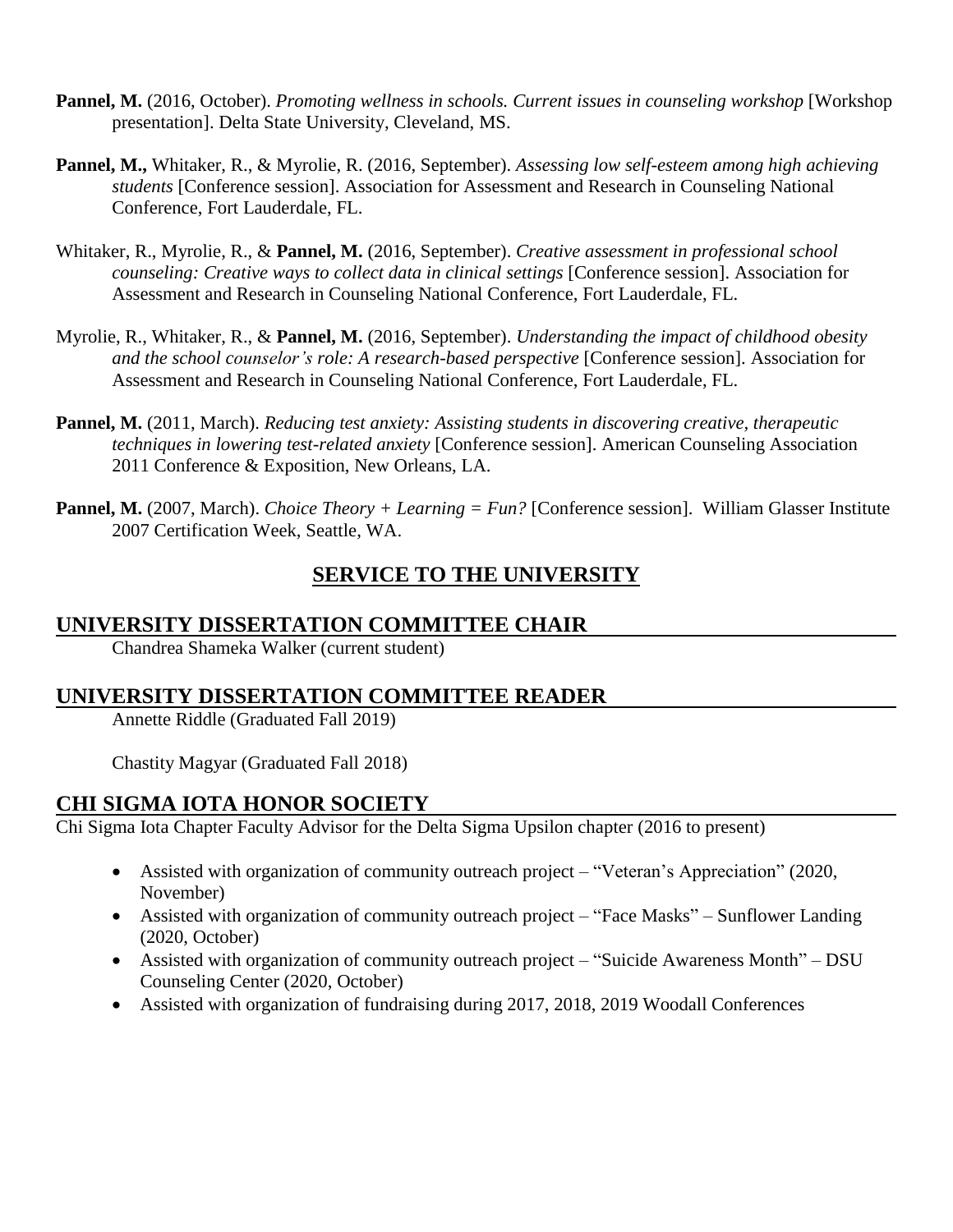- **Pannel, M.** (2016, October). *Promoting wellness in schools. Current issues in counseling workshop* [Workshop presentation]. Delta State University, Cleveland, MS.
- **Pannel, M.,** Whitaker, R., & Myrolie, R. (2016, September). *Assessing low self-esteem among high achieving students* [Conference session]. Association for Assessment and Research in Counseling National Conference, Fort Lauderdale, FL.
- Whitaker, R., Myrolie, R., & **Pannel, M.** (2016, September). *Creative assessment in professional school counseling: Creative ways to collect data in clinical settings* [Conference session]. Association for Assessment and Research in Counseling National Conference, Fort Lauderdale, FL.
- Myrolie, R., Whitaker, R., & **Pannel, M.** (2016, September). *Understanding the impact of childhood obesity and the school counselor's role: A research-based perspective* [Conference session]. Association for Assessment and Research in Counseling National Conference, Fort Lauderdale, FL.
- **Pannel, M.** (2011, March). *Reducing test anxiety: Assisting students in discovering creative, therapeutic techniques in lowering test-related anxiety* [Conference session]. American Counseling Association 2011 Conference & Exposition, New Orleans, LA.
- **Pannel, M.** (2007, March). *Choice Theory + Learning = Fun?* [Conference session]. William Glasser Institute 2007 Certification Week, Seattle, WA.

# **SERVICE TO THE UNIVERSITY**

#### **UNIVERSITY DISSERTATION COMMITTEE CHAIR**

Chandrea Shameka Walker (current student)

# **UNIVERSITY DISSERTATION COMMITTEE READER**

Annette Riddle (Graduated Fall 2019)

Chastity Magyar (Graduated Fall 2018)

#### **CHI SIGMA IOTA HONOR SOCIETY**

Chi Sigma Iota Chapter Faculty Advisor for the Delta Sigma Upsilon chapter (2016 to present)

- Assisted with organization of community outreach project "Veteran's Appreciation" (2020, November)
- Assisted with organization of community outreach project "Face Masks" Sunflower Landing (2020, October)
- Assisted with organization of community outreach project "Suicide Awareness Month" DSU Counseling Center (2020, October)
- Assisted with organization of fundraising during 2017, 2018, 2019 Woodall Conferences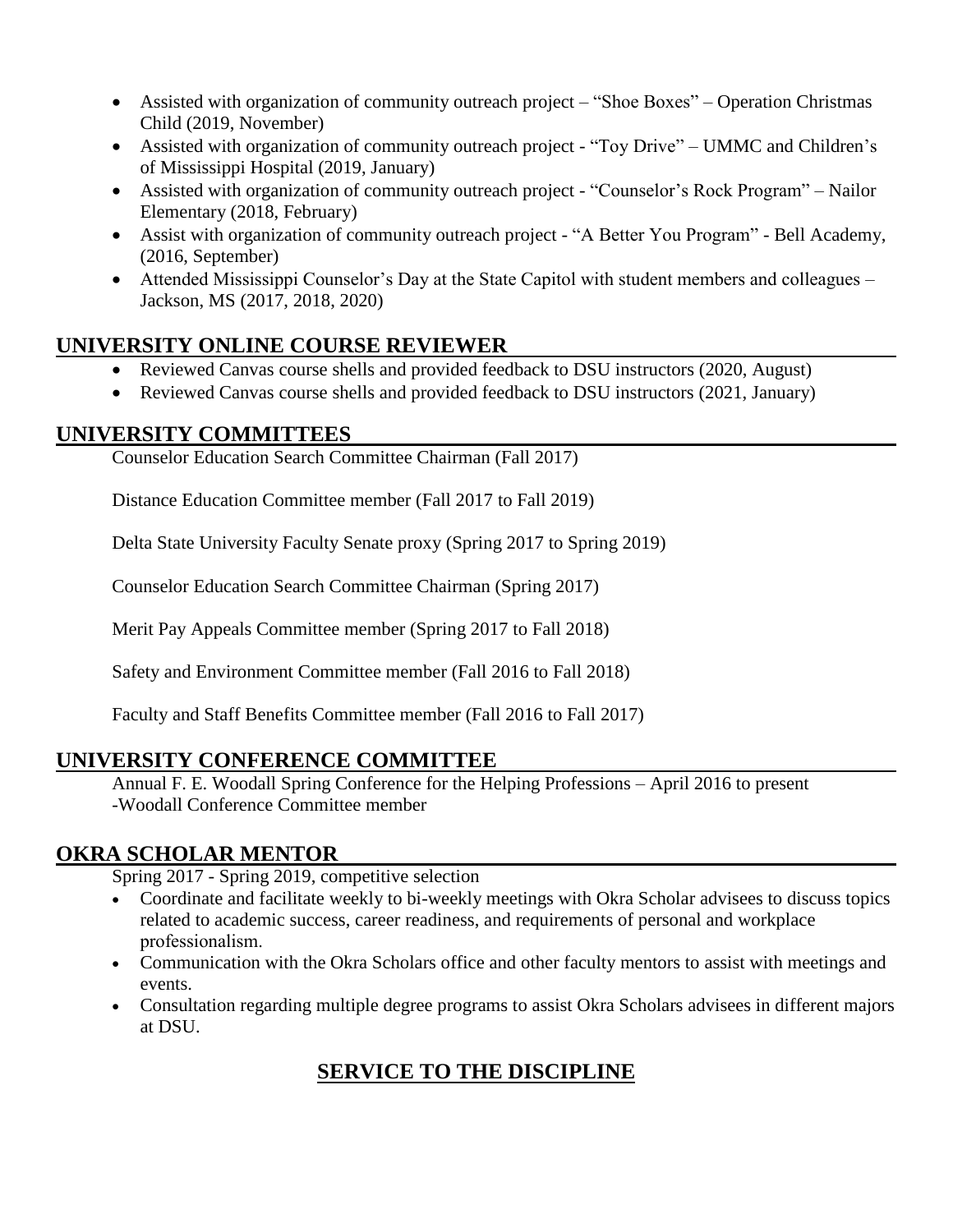- Assisted with organization of community outreach project "Shoe Boxes" Operation Christmas Child (2019, November)
- Assisted with organization of community outreach project "Toy Drive" UMMC and Children's of Mississippi Hospital (2019, January)
- Assisted with organization of community outreach project "Counselor's Rock Program" Nailor Elementary (2018, February)
- Assist with organization of community outreach project "A Better You Program" Bell Academy, (2016, September)
- Attended Mississippi Counselor's Day at the State Capitol with student members and colleagues Jackson, MS (2017, 2018, 2020)

## **UNIVERSITY ONLINE COURSE REVIEWER**

- Reviewed Canvas course shells and provided feedback to DSU instructors (2020, August)
- Reviewed Canvas course shells and provided feedback to DSU instructors (2021, January)

#### **UNIVERSITY COMMITTEES**

Counselor Education Search Committee Chairman (Fall 2017)

Distance Education Committee member (Fall 2017 to Fall 2019)

Delta State University Faculty Senate proxy (Spring 2017 to Spring 2019)

Counselor Education Search Committee Chairman (Spring 2017)

Merit Pay Appeals Committee member (Spring 2017 to Fall 2018)

Safety and Environment Committee member (Fall 2016 to Fall 2018)

Faculty and Staff Benefits Committee member (Fall 2016 to Fall 2017)

# **UNIVERSITY CONFERENCE COMMITTEE**

Annual F. E. Woodall Spring Conference for the Helping Professions – April 2016 to present -Woodall Conference Committee member

# **OKRA SCHOLAR MENTOR**

Spring 2017 - Spring 2019, competitive selection

- Coordinate and facilitate weekly to bi-weekly meetings with Okra Scholar advisees to discuss topics related to academic success, career readiness, and requirements of personal and workplace professionalism.
- Communication with the Okra Scholars office and other faculty mentors to assist with meetings and events.
- Consultation regarding multiple degree programs to assist Okra Scholars advisees in different majors at DSU.

# **SERVICE TO THE DISCIPLINE**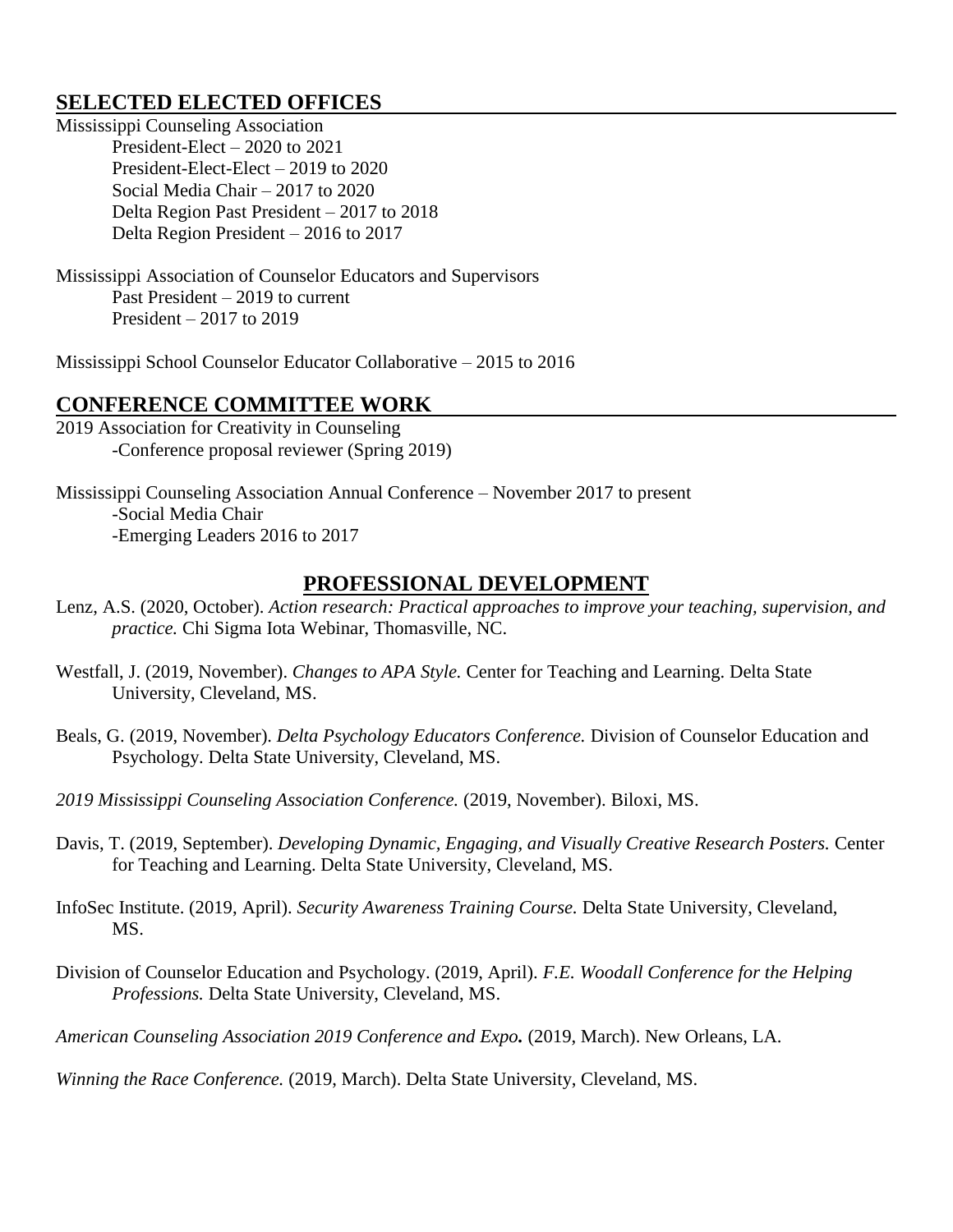#### **SELECTED ELECTED OFFICES**

Mississippi Counseling Association President-Elect – 2020 to 2021 President-Elect-Elect – 2019 to 2020 Social Media Chair – 2017 to 2020 Delta Region Past President – 2017 to 2018 Delta Region President – 2016 to 2017

Mississippi Association of Counselor Educators and Supervisors Past President – 2019 to current President – 2017 to 2019

Mississippi School Counselor Educator Collaborative – 2015 to 2016

#### **CONFERENCE COMMITTEE WORK**

2019 Association for Creativity in Counseling -Conference proposal reviewer (Spring 2019)

Mississippi Counseling Association Annual Conference – November 2017 to present -Social Media Chair -Emerging Leaders 2016 to 2017

#### **PROFESSIONAL DEVELOPMENT**

- Lenz, A.S. (2020, October). *Action research: Practical approaches to improve your teaching, supervision, and practice.* Chi Sigma Iota Webinar, Thomasville, NC.
- Westfall, J. (2019, November). *Changes to APA Style.* Center for Teaching and Learning. Delta State University, Cleveland, MS.
- Beals, G. (2019, November). *Delta Psychology Educators Conference.* Division of Counselor Education and Psychology. Delta State University, Cleveland, MS.
- *2019 Mississippi Counseling Association Conference.* (2019, November). Biloxi, MS.
- Davis, T. (2019, September). *Developing Dynamic, Engaging, and Visually Creative Research Posters.* Center for Teaching and Learning. Delta State University, Cleveland, MS.
- InfoSec Institute. (2019, April). *Security Awareness Training Course.* Delta State University, Cleveland, MS.
- Division of Counselor Education and Psychology. (2019, April). *F.E. Woodall Conference for the Helping Professions.* Delta State University, Cleveland, MS.

*American Counseling Association 2019 Conference and Expo.* (2019, March). New Orleans, LA.

*Winning the Race Conference.* (2019, March). Delta State University, Cleveland, MS.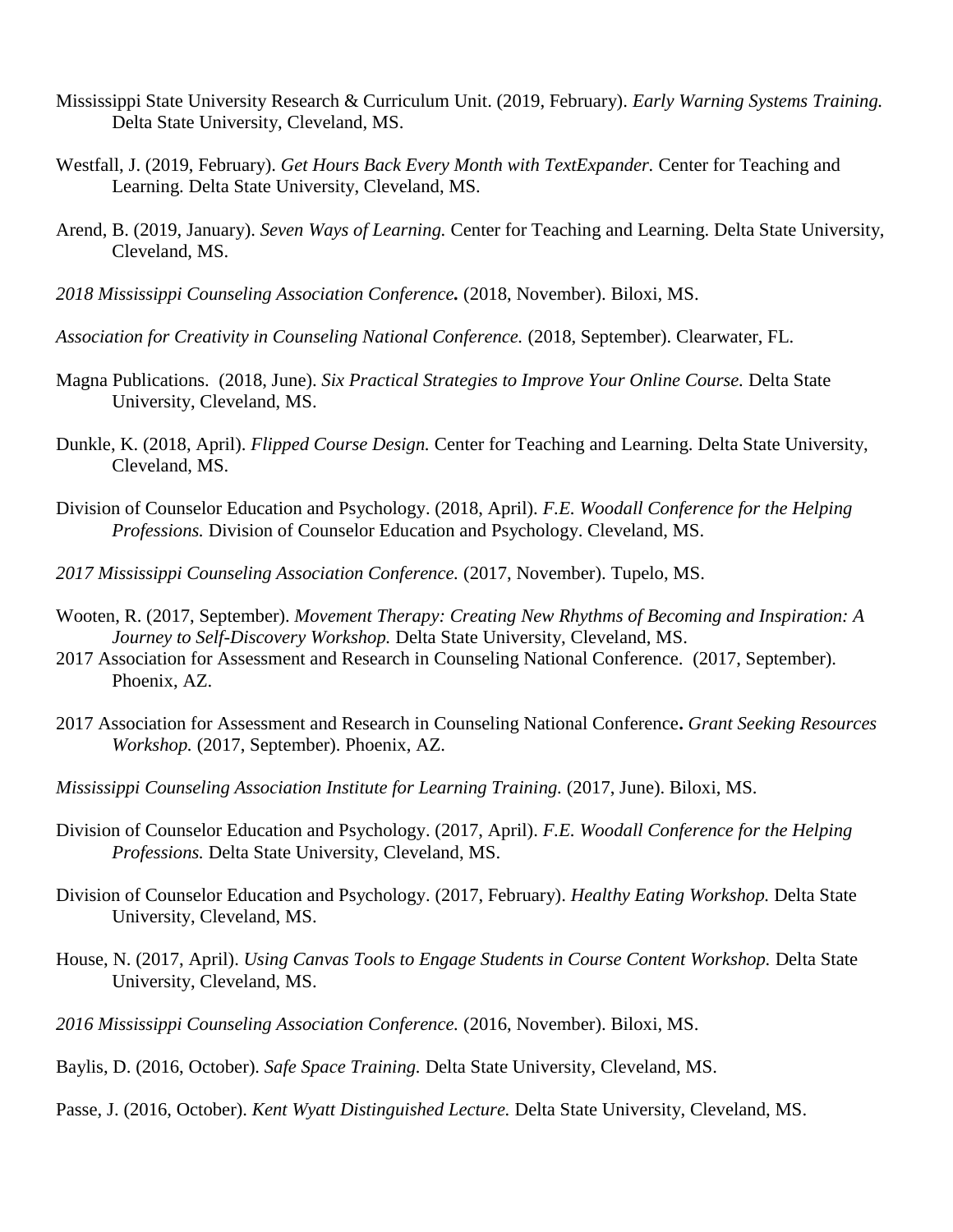- Mississippi State University Research & Curriculum Unit. (2019, February). *Early Warning Systems Training.*  Delta State University, Cleveland, MS.
- Westfall, J. (2019, February). *Get Hours Back Every Month with TextExpander.* Center for Teaching and Learning. Delta State University, Cleveland, MS.
- Arend, B. (2019, January). *Seven Ways of Learning.* Center for Teaching and Learning. Delta State University, Cleveland, MS.
- *2018 Mississippi Counseling Association Conference.* (2018, November). Biloxi, MS.
- *Association for Creativity in Counseling National Conference.* (2018, September). Clearwater, FL.
- Magna Publications. (2018, June). *Six Practical Strategies to Improve Your Online Course.* Delta State University, Cleveland, MS.
- Dunkle, K. (2018, April). *Flipped Course Design.* Center for Teaching and Learning. Delta State University, Cleveland, MS.
- Division of Counselor Education and Psychology. (2018, April). *F.E. Woodall Conference for the Helping Professions.* Division of Counselor Education and Psychology. Cleveland, MS.
- *2017 Mississippi Counseling Association Conference.* (2017, November). Tupelo, MS.
- Wooten, R. (2017, September). *Movement Therapy: Creating New Rhythms of Becoming and Inspiration: A Journey to Self-Discovery Workshop.* Delta State University, Cleveland, MS.
- 2017 Association for Assessment and Research in Counseling National Conference. (2017, September). Phoenix, AZ.
- 2017 Association for Assessment and Research in Counseling National Conference**.** *Grant Seeking Resources Workshop.* (2017, September). Phoenix, AZ.
- *Mississippi Counseling Association Institute for Learning Training.* (2017, June). Biloxi, MS.
- Division of Counselor Education and Psychology. (2017, April). *F.E. Woodall Conference for the Helping Professions.* Delta State University, Cleveland, MS.
- Division of Counselor Education and Psychology. (2017, February). *Healthy Eating Workshop.* Delta State University, Cleveland, MS.
- House, N. (2017, April). *Using Canvas Tools to Engage Students in Course Content Workshop.* Delta State University, Cleveland, MS.
- *2016 Mississippi Counseling Association Conference.* (2016, November). Biloxi, MS.
- Baylis, D. (2016, October). *Safe Space Training.* Delta State University, Cleveland, MS.
- Passe, J. (2016, October). *Kent Wyatt Distinguished Lecture.* Delta State University, Cleveland, MS.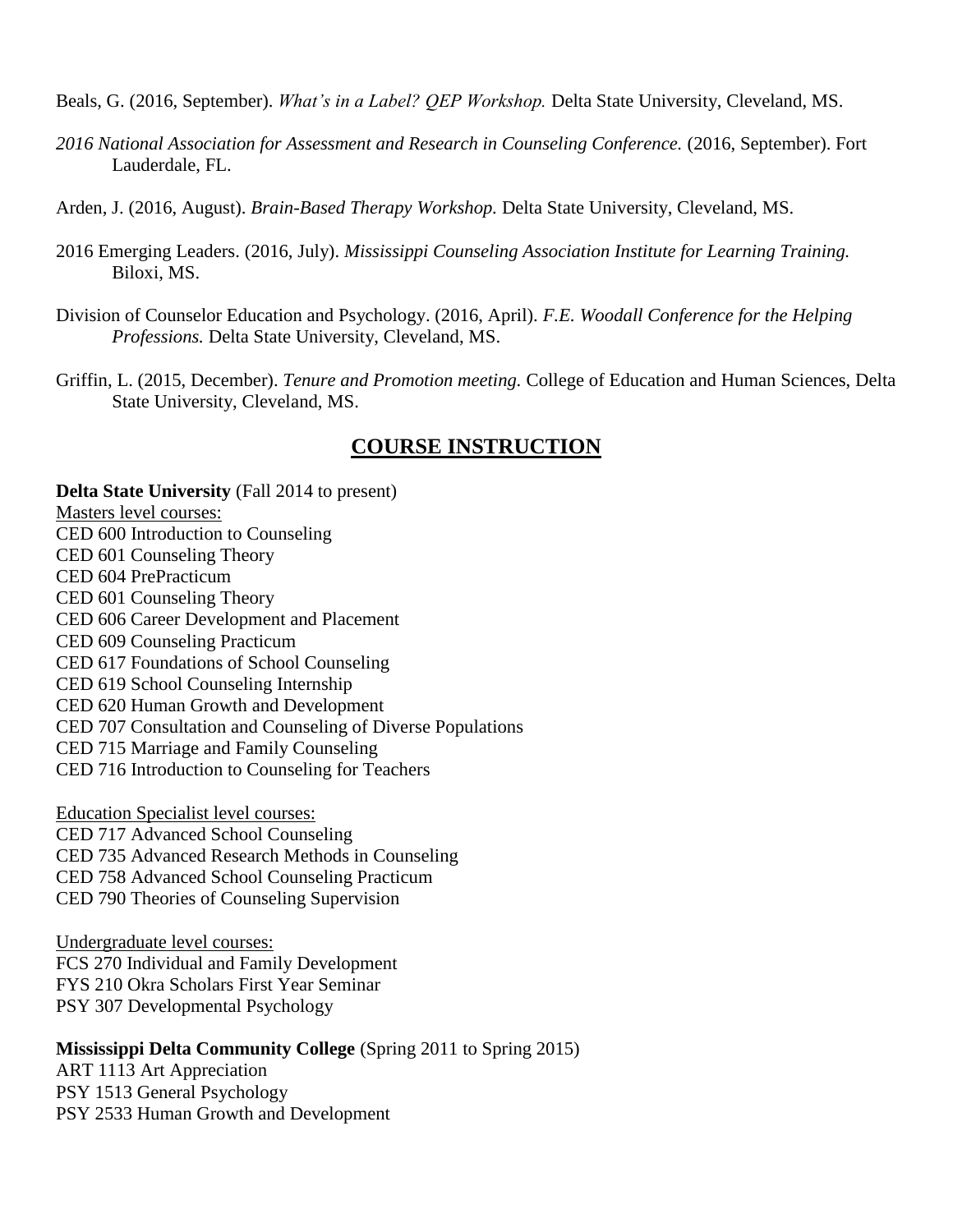Beals, G. (2016, September). *What's in a Label? QEP Workshop.* Delta State University, Cleveland, MS.

- *2016 National Association for Assessment and Research in Counseling Conference.* (2016, September). Fort Lauderdale, FL.
- Arden, J. (2016, August). *Brain-Based Therapy Workshop.* Delta State University, Cleveland, MS.
- 2016 Emerging Leaders. (2016, July). *Mississippi Counseling Association Institute for Learning Training.*  Biloxi, MS.
- Division of Counselor Education and Psychology. (2016, April). *F.E. Woodall Conference for the Helping Professions.* Delta State University, Cleveland, MS.
- Griffin, L. (2015, December). *Tenure and Promotion meeting.* College of Education and Human Sciences, Delta State University, Cleveland, MS.

# **COURSE INSTRUCTION**

**Delta State University** (Fall 2014 to present) Masters level courses: CED 600 Introduction to Counseling CED 601 Counseling Theory CED 604 PrePracticum CED 601 Counseling Theory CED 606 Career Development and Placement CED 609 Counseling Practicum CED 617 Foundations of School Counseling CED 619 School Counseling Internship CED 620 Human Growth and Development CED 707 Consultation and Counseling of Diverse Populations CED 715 Marriage and Family Counseling CED 716 Introduction to Counseling for Teachers Education Specialist level courses: CED 717 Advanced School Counseling

CED 735 Advanced Research Methods in Counseling CED 758 Advanced School Counseling Practicum CED 790 Theories of Counseling Supervision

Undergraduate level courses: FCS 270 Individual and Family Development FYS 210 Okra Scholars First Year Seminar PSY 307 Developmental Psychology

#### **Mississippi Delta Community College** (Spring 2011 to Spring 2015)

ART 1113 Art Appreciation PSY 1513 General Psychology PSY 2533 Human Growth and Development